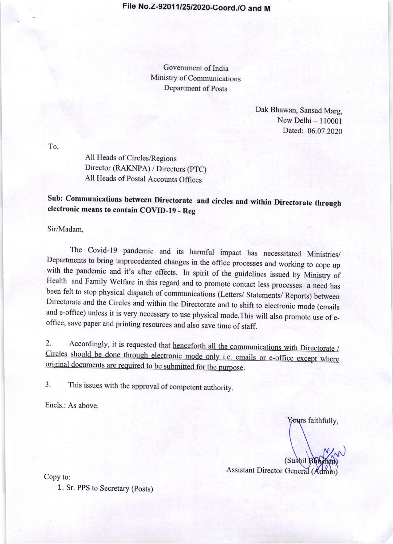Government of India Ministry of Communications Department of Posts

> Dak Bhawan, Sansad Marg, New Delhi  $-110001$ Dated: 06.07.2020

To,

All Heads of Circles/Regions Director (RAKNPA) / Directors (PTC) All Heads of postal Accounts Offices

Sub: Communications between Directorate and circles and within Directorate through electronic means to contain COVID-I9 - Reg

Sir/Madam,

The Covid-19 pandemic and its harmful impact has necessitated Ministries/<br>Departments to bring unprecedented changes in the office processes and working to cope up with the pandemic and it's after effects. In spirit of the guidelines issued by Ministry of Health and Family Welfare in this regard and to promote contact less processes a need has been felt to stop physical dispatch of communications (Letters/ statements/ Reports) between Directorate and the Circles and within the Directorate and to shift to electronic mode (emails and e-office) unless it is very necessary to use physical mode. This will also promote use of e-office, save paper and printing resources and also save time of staff.

2. Accordingly, it is requested that <u>henceforth all the communications with Directorate /</u><br>Circles should be done through electronic mode only i.e. emails or e-office except where  $2.$ original documents are required to be submitted for the purpose.

3. This issues with the approval of competent authority.

Encls.: As above.

Yours faithfully,

(Sushil) Assistant Director General (Admin)

Copy to:

1. Sr. PPS to Secretary (posts)